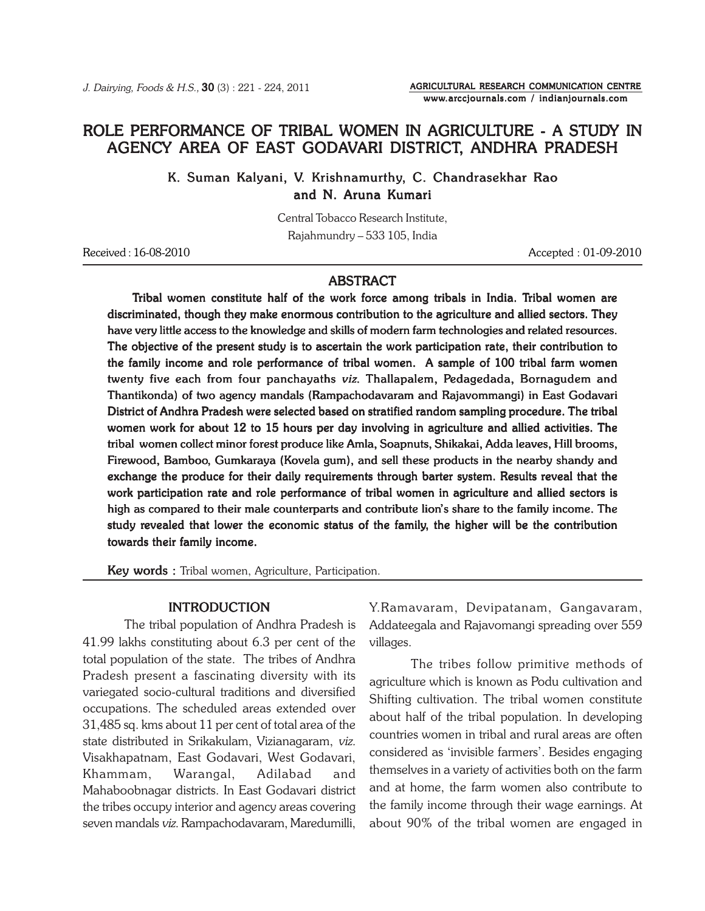# ROLE PERFORMANCE OF TRIBAL WOMEN IN AGRICULTURE - A STUDY IN AGENCY AREA OF EAST GODAVARI DISTRICT, ANDHRA PRADESH

K. Suman Kalyani, V. Krishnamurthy, C. Chandrasekhar Rao and N. Aruna Kumari

> Central Tobacco Research Institute, Rajahmundry – 533 105, India

Received : 16-08-2010 Accepted : 01-09-2010

AGRICULTURAL RESEARCH COMMUNICATION CENTRE www.arccjournals.com / indianjournals.com

### ABSTRACT

Tribal women constitute half of the work force among tribals in India. Tribal women are discriminated, though they make enormous contribution to the agriculture and allied sectors. They have very little access to the knowledge and skills of modern farm technologies and related resources. The objective of the present study is to ascertain the work participation rate, their contribution to the family income and role performance of tribal women. A sample of 100 tribal farm women twenty five each from four panchayaths viz. Thallapalem, Pedagedada, Bornagudem and Thantikonda) of two agency mandals (Rampachodavaram and Rajavommangi) in East Godavari District of Andhra Pradesh were selected based on stratified random sampling procedure. The tribal women work for about 12 to 15 hours per day involving in agriculture and allied activities. The tribal women collect minor forest produce like Amla, Soapnuts, Shikakai, Adda leaves, Hill brooms, Firewood, Bamboo, Gumkaraya (Kovela gum), and sell these products in the nearby shandy and exchange the produce for their daily requirements through barter system. Results reveal that the work participation rate and role performance of tribal women in agriculture and allied sectors is high as compared to their male counterparts and contribute lion's share to the family income. The study revealed that lower the economic status of the family, the higher will be the contribution towards their family income.

Key words : Tribal women, Agriculture, Participation.

#### INTRODUCTION

The tribal population of Andhra Pradesh is 41.99 lakhs constituting about 6.3 per cent of the total population of the state. The tribes of Andhra Pradesh present a fascinating diversity with its variegated socio-cultural traditions and diversified occupations. The scheduled areas extended over 31,485 sq. kms about 11 per cent of total area of the state distributed in Srikakulam, Vizianagaram, viz. Visakhapatnam, East Godavari, West Godavari, Khammam, Warangal, Adilabad and Mahaboobnagar districts. In East Godavari district the tribes occupy interior and agency areas covering seven mandals viz. Rampachodavaram, Maredumilli,

Y.Ramavaram, Devipatanam, Gangavaram, Addateegala and Rajavomangi spreading over 559 villages.

The tribes follow primitive methods of agriculture which is known as Podu cultivation and Shifting cultivation. The tribal women constitute about half of the tribal population. In developing countries women in tribal and rural areas are often considered as 'invisible farmers'. Besides engaging themselves in a variety of activities both on the farm and at home, the farm women also contribute to the family income through their wage earnings. At about 90% of the tribal women are engaged in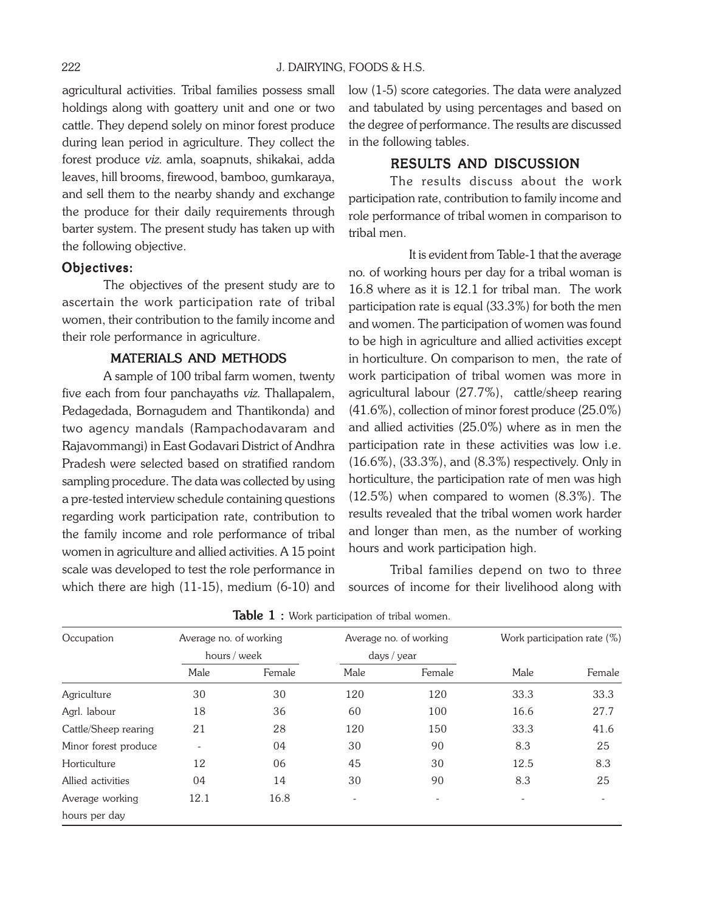agricultural activities. Tribal families possess small holdings along with goattery unit and one or two cattle. They depend solely on minor forest produce during lean period in agriculture. They collect the forest produce viz. amla, soapnuts, shikakai, adda leaves, hill brooms, firewood, bamboo, gumkaraya, and sell them to the nearby shandy and exchange the produce for their daily requirements through barter system. The present study has taken up with the following objective.

#### Objectives:

The objectives of the present study are to ascertain the work participation rate of tribal women, their contribution to the family income and their role performance in agriculture.

### MATERIALS AND METHODS

A sample of 100 tribal farm women, twenty five each from four panchayaths viz. Thallapalem, Pedagedada, Bornagudem and Thantikonda) and two agency mandals (Rampachodavaram and Rajavommangi) in East Godavari District of Andhra Pradesh were selected based on stratified random sampling procedure. The data was collected by using a pre-tested interview schedule containing questions regarding work participation rate, contribution to the family income and role performance of tribal women in agriculture and allied activities. A 15 point scale was developed to test the role performance in which there are high (11-15), medium (6-10) and low (1-5) score categories. The data were analyzed and tabulated by using percentages and based on the degree of performance. The results are discussed in the following tables.

#### RESULTS AND DISCUSSION

The results discuss about the work participation rate, contribution to family income and role performance of tribal women in comparison to tribal men.

It is evident from Table-1 that the average no. of working hours per day for a tribal woman is 16.8 where as it is 12.1 for tribal man. The work participation rate is equal (33.3%) for both the men and women. The participation of women was found to be high in agriculture and allied activities except in horticulture. On comparison to men, the rate of work participation of tribal women was more in agricultural labour (27.7%), cattle/sheep rearing (41.6%), collection of minor forest produce (25.0%) and allied activities (25.0%) where as in men the participation rate in these activities was low i.e. (16.6%), (33.3%), and (8.3%) respectively. Only in horticulture, the participation rate of men was high (12.5%) when compared to women (8.3%). The results revealed that the tribal women work harder and longer than men, as the number of working hours and work participation high.

Tribal families depend on two to three sources of income for their livelihood along with

| Occupation           | Average no. of working<br>hours / week |        | Average no. of working<br>days / year |                          | Work participation rate (%) |        |
|----------------------|----------------------------------------|--------|---------------------------------------|--------------------------|-----------------------------|--------|
|                      |                                        |        |                                       |                          |                             |        |
|                      | Male                                   | Female | Male                                  | Female                   | Male                        | Female |
| Agriculture          | 30                                     | 30     | 120                                   | 120                      | 33.3                        | 33.3   |
| Agrl. labour         | 18                                     | 36     | 60                                    | 100                      | 16.6                        | 27.7   |
| Cattle/Sheep rearing | 21                                     | 28     | 120                                   | 150                      | 33.3                        | 41.6   |
| Minor forest produce | $\qquad \qquad \blacksquare$           | 04     | 30                                    | 90                       | 8.3                         | 25     |
| Horticulture         | 12                                     | 06     | 45                                    | 30                       | 12.5                        | 8.3    |
| Allied activities    | 04                                     | 14     | 30                                    | 90                       | 8.3                         | 25     |
| Average working      | 12.1                                   | 16.8   | $\overline{\phantom{a}}$              | $\overline{\phantom{a}}$ |                             |        |
| hours per day        |                                        |        |                                       |                          |                             |        |

Table  $1:$  Work participation of tribal women.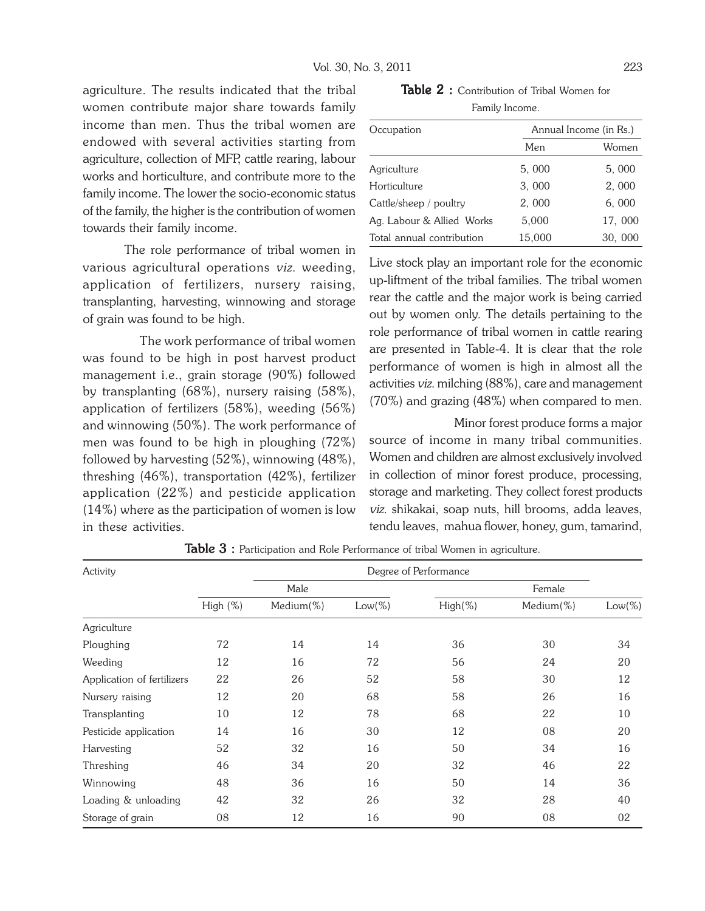agriculture. The results indicated that the tribal women contribute major share towards family income than men. Thus the tribal women are endowed with several activities starting from agriculture, collection of MFP, cattle rearing, labour works and horticulture, and contribute more to the family income. The lower the socio-economic status of the family, the higher is the contribution of women towards their family income.

The role performance of tribal women in various agricultural operations viz. weeding, application of fertilizers, nursery raising, transplanting, harvesting, winnowing and storage of grain was found to be high.

The work performance of tribal women was found to be high in post harvest product management i.e., grain storage (90%) followed by transplanting (68%), nursery raising (58%), application of fertilizers (58%), weeding (56%) and winnowing (50%). The work performance of men was found to be high in ploughing (72%) followed by harvesting (52%), winnowing (48%), threshing (46%), transportation (42%), fertilizer application (22%) and pesticide application (14%) where as the participation of women is low in these activities.

Table 2 : Contribution of Tribal Women for Family Income.

| Occupation                | Annual Income (in Rs.) |        |  |  |
|---------------------------|------------------------|--------|--|--|
|                           | Men                    | Women  |  |  |
| Agriculture               | 5,000                  | 5,000  |  |  |
| Horticulture              | 3,000                  | 2,000  |  |  |
| Cattle/sheep / poultry    | 2,000                  | 6,000  |  |  |
| Ag. Labour & Allied Works | 5,000                  | 17,000 |  |  |
| Total annual contribution | 15,000                 | 30,000 |  |  |

Live stock play an important role for the economic up-liftment of the tribal families. The tribal women rear the cattle and the major work is being carried out by women only. The details pertaining to the role performance of tribal women in cattle rearing are presented in Table-4. It is clear that the role performance of women is high in almost all the activities viz. milching (88%), care and management (70%) and grazing (48%) when compared to men.

Minor forest produce forms a major source of income in many tribal communities. Women and children are almost exclusively involved in collection of minor forest produce, processing, storage and marketing. They collect forest products viz. shikakai, soap nuts, hill brooms, adda leaves, tendu leaves, mahua flower, honey, gum, tamarind,

| Activity                   |          |           |           | Degree of Performance |               |           |
|----------------------------|----------|-----------|-----------|-----------------------|---------------|-----------|
|                            |          | Male      |           | Female                |               |           |
|                            | High (%) | Medium(%) | $Low(\%)$ | $High(\%)$            | Medium $(\%)$ | $Low(\%)$ |
| Agriculture                |          |           |           |                       |               |           |
| Ploughing                  | 72       | 14        | 14        | 36                    | 30            | 34        |
| Weeding                    | 12       | 16        | 72        | 56                    | 24            | 20        |
| Application of fertilizers | 22       | 26        | 52        | 58                    | 30            | 12        |
| Nursery raising            | 12       | 20        | 68        | 58                    | 26            | 16        |
| Transplanting              | 10       | 12        | 78        | 68                    | 22            | 10        |
| Pesticide application      | 14       | 16        | 30        | 12                    | 08            | 20        |
| Harvesting                 | 52       | 32        | 16        | 50                    | 34            | 16        |
| Threshing                  | 46       | 34        | 20        | 32                    | 46            | 22        |
| Winnowing                  | 48       | 36        | 16        | 50                    | 14            | 36        |
| Loading & unloading        | 42       | 32        | 26        | 32                    | 28            | 40        |
| Storage of grain           | 08       | 12        | 16        | 90                    | 08            | 02        |

Table 3 : Participation and Role Performance of tribal Women in agriculture.